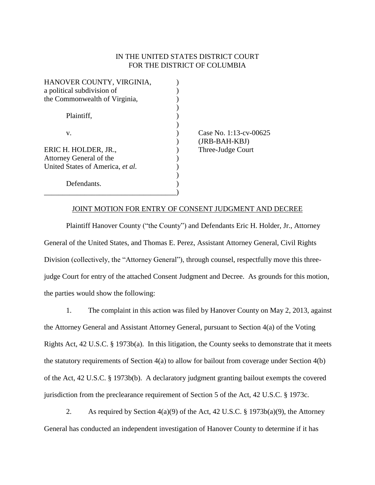## IN THE UNITED STATES DISTRICT COURT FOR THE DISTRICT OF COLUMBIA

| HANOVER COUNTY, VIRGINIA,        |                        |
|----------------------------------|------------------------|
| a political subdivision of       |                        |
| the Commonwealth of Virginia,    |                        |
|                                  |                        |
| Plaintiff,                       |                        |
|                                  |                        |
| v.                               | Case No. 1:13-cv-00625 |
|                                  | (JRB-BAH-KBJ)          |
| ERIC H. HOLDER, JR.,             | Three-Judge Court      |
| Attorney General of the          |                        |
| United States of America, et al. |                        |
|                                  |                        |
| Defendants.                      |                        |
|                                  |                        |

## JOINT MOTION FOR ENTRY OF CONSENT JUDGMENT AND DECREE

Plaintiff Hanover County ("the County") and Defendants Eric H. Holder, Jr., Attorney General of the United States, and Thomas E. Perez, Assistant Attorney General, Civil Rights Division (collectively, the "Attorney General"), through counsel, respectfully move this threejudge Court for entry of the attached Consent Judgment and Decree. As grounds for this motion, the parties would show the following:

1. The complaint in this action was filed by Hanover County on May 2, 2013, against the Attorney General and Assistant Attorney General, pursuant to Section 4(a) of the Voting Rights Act, 42 U.S.C. § 1973b(a). In this litigation, the County seeks to demonstrate that it meets the statutory requirements of Section 4(a) to allow for bailout from coverage under Section 4(b) of the Act, 42 U.S.C. § 1973b(b). A declaratory judgment granting bailout exempts the covered jurisdiction from the preclearance requirement of Section 5 of the Act, 42 U.S.C. § 1973c.

2. As required by Section 4(a)(9) of the Act, 42 U.S.C. § 1973b(a)(9), the Attorney General has conducted an independent investigation of Hanover County to determine if it has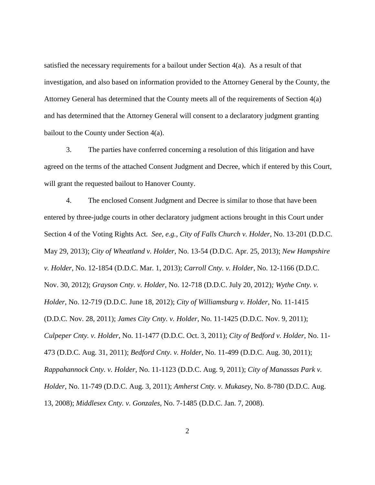satisfied the necessary requirements for a bailout under Section  $4(a)$ . As a result of that investigation, and also based on information provided to the Attorney General by the County, the Attorney General has determined that the County meets all of the requirements of Section 4(a) and has determined that the Attorney General will consent to a declaratory judgment granting bailout to the County under Section 4(a).

3. The parties have conferred concerning a resolution of this litigation and have agreed on the terms of the attached Consent Judgment and Decree, which if entered by this Court, will grant the requested bailout to Hanover County.

4. The enclosed Consent Judgment and Decree is similar to those that have been entered by three-judge courts in other declaratory judgment actions brought in this Court under Section 4 of the Voting Rights Act. *See, e.g., City of Falls Church v. Holder*, No. 13-201 (D.D.C. May 29, 2013); *City of Wheatland v. Holder*, No. 13-54 (D.D.C. Apr. 25, 2013); *New Hampshire v. Holder*, No. 12-1854 (D.D.C. Mar. 1, 2013); *Carroll Cnty. v. Holder*, No. 12-1166 (D.D.C. Nov. 30, 2012); *Grayson Cnty. v. Holder*, No. 12-718 (D.D.C. July 20, 2012)*; Wythe Cnty. v. Holder*, No. 12-719 (D.D.C. June 18, 2012); *City of Williamsburg v. Holder*, No. 11-1415 (D.D.C. Nov. 28, 2011); *James City Cnty. v. Holder*, No. 11-1425 (D.D.C. Nov. 9, 2011); *Culpeper Cnty. v. Holder*, No. 11-1477 (D.D.C. Oct. 3, 2011); *City of Bedford v. Holder*, No. 11- 473 (D.D.C. Aug. 31, 2011); *Bedford Cnty. v. Holder*, No. 11-499 (D.D.C. Aug. 30, 2011); *Rappahannock Cnty. v. Holder*, No. 11-1123 (D.D.C. Aug. 9, 2011); *City of Manassas Park v. Holder*, No. 11-749 (D.D.C. Aug. 3, 2011); *Amherst Cnty. v. Mukasey*, No. 8-780 (D.D.C. Aug. 13, 2008); *Middlesex Cnty. v. Gonzales*, No. 7-1485 (D.D.C. Jan. 7, 2008).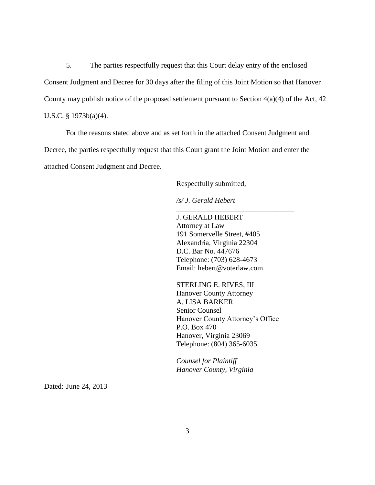5. The parties respectfully request that this Court delay entry of the enclosed Consent Judgment and Decree for 30 days after the filing of this Joint Motion so that Hanover County may publish notice of the proposed settlement pursuant to Section  $4(a)(4)$  of the Act,  $42$ U.S.C. § 1973b(a)(4).

For the reasons stated above and as set forth in the attached Consent Judgment and Decree, the parties respectfully request that this Court grant the Joint Motion and enter the attached Consent Judgment and Decree.

Respectfully submitted,

*/s/ J. Gerald Hebert*

J. GERALD HEBERT Attorney at Law 191 Somervelle Street, #405 Alexandria, Virginia 22304 D.C. Bar No. 447676 Telephone: (703) 628-4673 Email: hebert@voterlaw.com

\_\_\_\_\_\_\_\_\_\_\_\_\_\_\_\_\_\_\_\_\_\_\_\_\_\_\_\_\_\_\_\_

STERLING E. RIVES, III Hanover County Attorney A. LISA BARKER Senior Counsel Hanover County Attorney's Office P.O. Box 470 Hanover, Virginia 23069 Telephone: (804) 365-6035

*Counsel for Plaintiff Hanover County, Virginia*

Dated: June 24, 2013